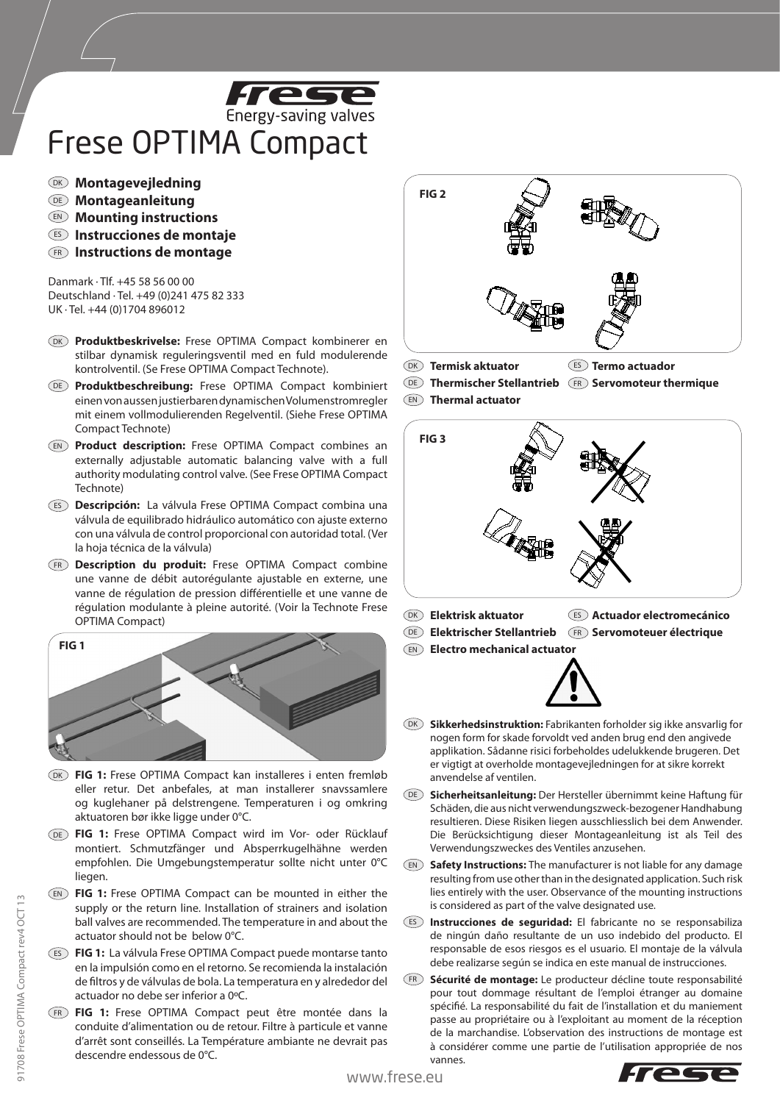

## Frese OPTIMA Compact

- DK **Montagevejledning**
- DE **Montageanleitung**
- EN **Mounting instructions**
- ES **Instrucciones de montaje**
- **Instructions de montage** FR

Danmark · Tlf. +45 58 56 00 00 Deutschland · Tel. +49 (0)241 475 82 333 UK · Tel. +44 (0)1704 896012

- **Produktbeskrivelse:** Frese OPTIMA Compact kombinerer en DK stilbar dynamisk reguleringsventil med en fuld modulerende kontrolventil. (Se Frese OPTIMA Compact Technote).
- **Produktbeschreibung:** Frese OPTIMA Compact kombiniert DE einen von aussen justierbaren dynamischen Volumenstromregler mit einem vollmodulierenden Regelventil. (Siehe Frese OPTIMA Compact Technote)
- EN) **Product description:** Frese OPTIMA Compact combines an externally adjustable automatic balancing valve with a full authority modulating control valve. (See Frese OPTIMA Compact Technote)
- ES Descripción: La válvula Frese OPTIMA Compact combina una válvula de equilibrado hidráulico automático con ajuste externo con una válvula de control proporcional con autoridad total. (Ver la hoja técnica de la válvula)
- **Description du produit:** Frese OPTIMA Compact combine FR une vanne de débit autorégulante ajustable en externe, une vanne de régulation de pression différentielle et une vanne de régulation modulante à pleine autorité. (Voir la Technote Frese OPTIMA Compact)



- DK FIG 1: Frese OPTIMA Compact kan installeres i enten fremløb eller retur. Det anbefales, at man installerer snavssamlere og kuglehaner på delstrengene. Temperaturen i og omkring aktuatoren bør ikke ligge under 0°C.
- DE FIG 1: Frese OPTIMA Compact wird im Vor- oder Rücklauf montiert. Schmutzfänger und Absperrkugelhähne werden empfohlen. Die Umgebungstemperatur sollte nicht unter 0°C liegen.
- EN) FIG 1: Frese OPTIMA Compact can be mounted in either the supply or the return line. Installation of strainers and isolation ball valves are recommended. The temperature in and about the actuator should not be below 0°C.
- **FIG 1:** La válvula Frese OPTIMA Compact puede montarse tanto ES en la impulsión como en el retorno. Se recomienda la instalación de filtros y de válvulas de bola. La temperatura en y alrededor del actuador no debe ser inferior a 0ºC.
- **FIG 1:** Frese OPTIMA Compact peut être montée dans la FR conduite d'alimentation ou de retour. Filtre à particule et vanne d'arrêt sont conseillés. La Température ambiante ne devrait pas descendre endessous de 0°C.



**Termisk aktuator CES** Termo actuador **DK** Termisk aktuator

DE) Thermischer Stellantrieb (FR) Servomoteur thermique



- Elektrisk aktuator **Actuador electromecánico Elektrischer Stellantrieb (FR) Servomoteuer électrique DK** Elektrisk aktuator **DE** Elektrischer Stellantrieb
- **Electro mechanical actuator** EN



- **Sikkerhedsinstruktion:** Fabrikanten forholder sig ikke ansvarlig for DK nogen form for skade forvoldt ved anden brug end den angivede applikation. Sådanne risici forbeholdes udelukkende brugeren. Det er vigtigt at overholde montagevejledningen for at sikre korrekt anvendelse af ventilen.
- **Sicherheitsanleitung:** Der Hersteller übernimmt keine Haftung für DE Schäden, die aus nicht verwendungszweck-bezogener Handhabung resultieren. Diese Risiken liegen ausschliesslich bei dem Anwender. Die Berücksichtigung dieser Montageanleitung ist als Teil des Verwendungszweckes des Ventiles anzusehen.
- **Safety Instructions:** The manufacturer is not liable for any damage EN resulting from use other than in the designated application. Such risk lies entirely with the user. Observance of the mounting instructions is considered as part of the valve designated use.
- **Instrucciones de seguridad:** El fabricante no se responsabiliza ES de ningún daño resultante de un uso indebido del producto. El responsable de esos riesgos es el usuario. El montaje de la válvula debe realizarse según se indica en este manual de instrucciones.
- **Sécurité de montage:** Le producteur décline toute responsabilité FR pour tout dommage résultant de l'emploi étranger au domaine spécifié. La responsabilité du fait de l'installation et du maniement passe au propriétaire ou à l'exploitant au moment de la réception de la marchandise. L'observation des instructions de montage est à considérer comme une partie de l'utilisation appropriée de nos vannes.

91708 Frese OPTIMA Compact rev4 OCT 13

91708 Frese OPTIMA Compact rev4 OCT 13

www.frese.eu